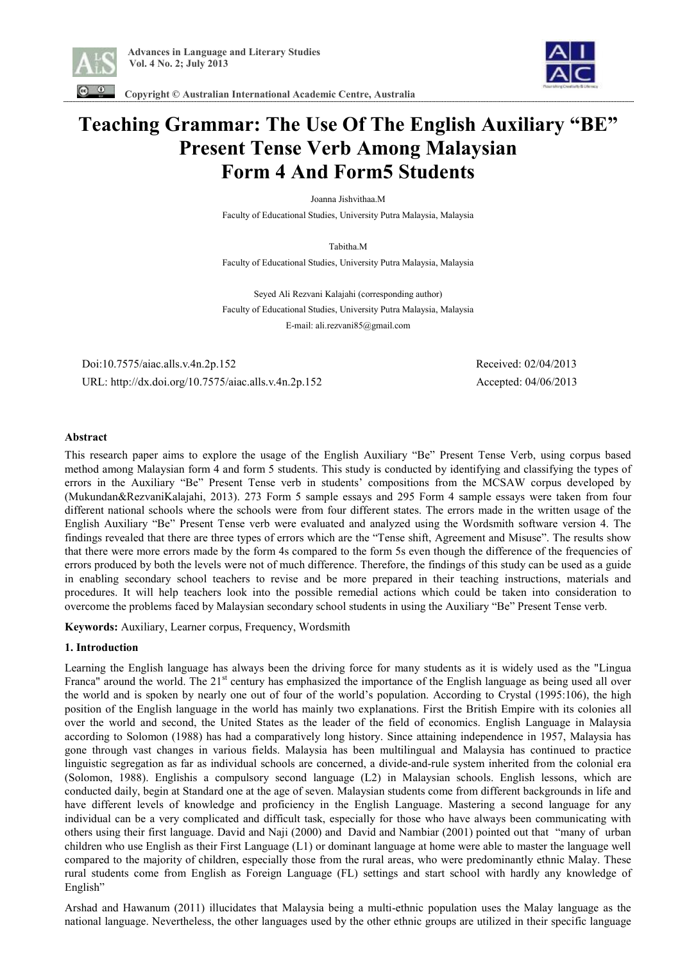



 **Copyright © Australian International Academic Centre, Australia** 

# **Teaching Grammar: The Use Of The English Auxiliary "BE" Present Tense Verb Among Malaysian Form 4 And Form5 Students**

Joanna Jishvithaa.M Faculty of Educational Studies, University Putra Malaysia, Malaysia

Tabitha.M Faculty of Educational Studies, University Putra Malaysia, Malaysia

Seyed Ali Rezvani Kalajahi (corresponding author) Faculty of Educational Studies, University Putra Malaysia, Malaysia E-mail: ali.rezvani85@gmail.com

 Doi:10.7575/aiac.alls.v.4n.2p.152 Received: 02/04/2013 URL: http://dx.doi.org/10.7575/aiac.alls.v.4n.2p.152 Accepted: 04/06/2013

#### **Abstract**

This research paper aims to explore the usage of the English Auxiliary "Be" Present Tense Verb, using corpus based method among Malaysian form 4 and form 5 students. This study is conducted by identifying and classifying the types of errors in the Auxiliary "Be" Present Tense verb in students' compositions from the MCSAW corpus developed by (Mukundan&RezvaniKalajahi, 2013). 273 Form 5 sample essays and 295 Form 4 sample essays were taken from four different national schools where the schools were from four different states. The errors made in the written usage of the English Auxiliary "Be" Present Tense verb were evaluated and analyzed using the Wordsmith software version 4. The findings revealed that there are three types of errors which are the "Tense shift, Agreement and Misuse". The results show that there were more errors made by the form 4s compared to the form 5s even though the difference of the frequencies of errors produced by both the levels were not of much difference. Therefore, the findings of this study can be used as a guide in enabling secondary school teachers to revise and be more prepared in their teaching instructions, materials and procedures. It will help teachers look into the possible remedial actions which could be taken into consideration to overcome the problems faced by Malaysian secondary school students in using the Auxiliary "Be" Present Tense verb.

**Keywords:** Auxiliary, Learner corpus, Frequency, Wordsmith

#### **1. Introduction**

Learning the English language has always been the driving force for many students as it is widely used as the "Lingua Franca" around the world. The  $21<sup>st</sup>$  century has emphasized the importance of the English language as being used all over the world and is spoken by nearly one out of four of the world's population. According to Crystal (1995:106), the high position of the English language in the world has mainly two explanations. First the British Empire with its colonies all over the world and second, the United States as the leader of the field of economics. English Language in Malaysia according to Solomon (1988) has had a comparatively long history. Since attaining independence in 1957, Malaysia has gone through vast changes in various fields. Malaysia has been multilingual and Malaysia has continued to practice linguistic segregation as far as individual schools are concerned, a divide-and-rule system inherited from the colonial era (Solomon, 1988). Englishis a compulsory second language (L2) in Malaysian schools. English lessons, which are conducted daily, begin at Standard one at the age of seven. Malaysian students come from different backgrounds in life and have different levels of knowledge and proficiency in the English Language. Mastering a second language for any individual can be a very complicated and difficult task, especially for those who have always been communicating with others using their first language. David and Naji (2000) and David and Nambiar (2001) pointed out that "many of urban children who use English as their First Language (L1) or dominant language at home were able to master the language well compared to the majority of children, especially those from the rural areas, who were predominantly ethnic Malay. These rural students come from English as Foreign Language (FL) settings and start school with hardly any knowledge of English"

Arshad and Hawanum (2011) illucidates that Malaysia being a multi-ethnic population uses the Malay language as the national language. Nevertheless, the other languages used by the other ethnic groups are utilized in their specific language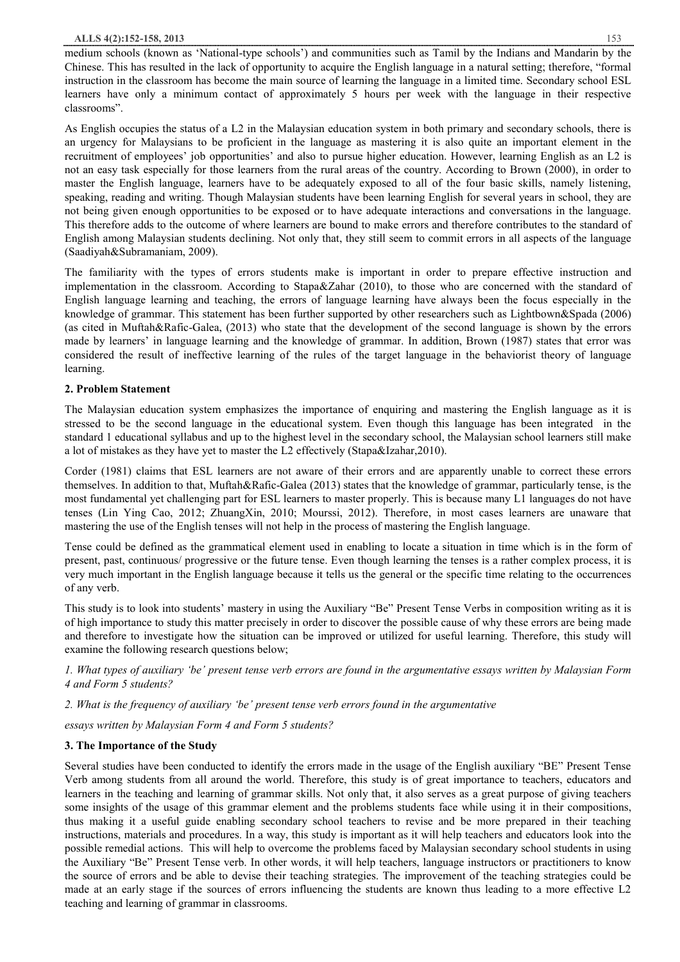medium schools (known as 'National-type schools') and communities such as Tamil by the Indians and Mandarin by the Chinese. This has resulted in the lack of opportunity to acquire the English language in a natural setting; therefore, "formal instruction in the classroom has become the main source of learning the language in a limited time. Secondary school ESL learners have only a minimum contact of approximately 5 hours per week with the language in their respective classrooms".

As English occupies the status of a L2 in the Malaysian education system in both primary and secondary schools, there is an urgency for Malaysians to be proficient in the language as mastering it is also quite an important element in the recruitment of employees' job opportunities' and also to pursue higher education. However, learning English as an L2 is not an easy task especially for those learners from the rural areas of the country. According to Brown (2000), in order to master the English language, learners have to be adequately exposed to all of the four basic skills, namely listening, speaking, reading and writing. Though Malaysian students have been learning English for several years in school, they are not being given enough opportunities to be exposed or to have adequate interactions and conversations in the language. This therefore adds to the outcome of where learners are bound to make errors and therefore contributes to the standard of English among Malaysian students declining. Not only that, they still seem to commit errors in all aspects of the language (Saadiyah&Subramaniam, 2009).

The familiarity with the types of errors students make is important in order to prepare effective instruction and implementation in the classroom. According to Stapa&Zahar (2010), to those who are concerned with the standard of English language learning and teaching, the errors of language learning have always been the focus especially in the knowledge of grammar. This statement has been further supported by other researchers such as Lightbown&Spada (2006) (as cited in Muftah&Rafic-Galea, (2013) who state that the development of the second language is shown by the errors made by learners' in language learning and the knowledge of grammar. In addition, Brown (1987) states that error was considered the result of ineffective learning of the rules of the target language in the behaviorist theory of language learning.

#### **2. Problem Statement**

The Malaysian education system emphasizes the importance of enquiring and mastering the English language as it is stressed to be the second language in the educational system. Even though this language has been integrated in the standard 1 educational syllabus and up to the highest level in the secondary school, the Malaysian school learners still make a lot of mistakes as they have yet to master the L2 effectively (Stapa&Izahar,2010).

Corder (1981) claims that ESL learners are not aware of their errors and are apparently unable to correct these errors themselves. In addition to that, Muftah&Rafic-Galea (2013) states that the knowledge of grammar, particularly tense, is the most fundamental yet challenging part for ESL learners to master properly. This is because many L1 languages do not have tenses (Lin Ying Cao, 2012; ZhuangXin, 2010; Mourssi, 2012). Therefore, in most cases learners are unaware that mastering the use of the English tenses will not help in the process of mastering the English language.

Tense could be defined as the grammatical element used in enabling to locate a situation in time which is in the form of present, past, continuous/ progressive or the future tense. Even though learning the tenses is a rather complex process, it is very much important in the English language because it tells us the general or the specific time relating to the occurrences of any verb.

This study is to look into students' mastery in using the Auxiliary "Be" Present Tense Verbs in composition writing as it is of high importance to study this matter precisely in order to discover the possible cause of why these errors are being made and therefore to investigate how the situation can be improved or utilized for useful learning. Therefore, this study will examine the following research questions below;

1. What types of auxiliary 'be' present tense verb errors are found in the argumentative essays written by Malaysian Form *4 and Form 5 students?* 

#### *2. What is the frequency of auxiliary 'be' present tense verb errors found in the argumentative*

*essays written by Malaysian Form 4 and Form 5 students?* 

## **3. The Importance of the Study**

Several studies have been conducted to identify the errors made in the usage of the English auxiliary "BE" Present Tense Verb among students from all around the world. Therefore, this study is of great importance to teachers, educators and learners in the teaching and learning of grammar skills. Not only that, it also serves as a great purpose of giving teachers some insights of the usage of this grammar element and the problems students face while using it in their compositions, thus making it a useful guide enabling secondary school teachers to revise and be more prepared in their teaching instructions, materials and procedures. In a way, this study is important as it will help teachers and educators look into the possible remedial actions. This will help to overcome the problems faced by Malaysian secondary school students in using the Auxiliary "Be" Present Tense verb. In other words, it will help teachers, language instructors or practitioners to know the source of errors and be able to devise their teaching strategies. The improvement of the teaching strategies could be made at an early stage if the sources of errors influencing the students are known thus leading to a more effective L2 teaching and learning of grammar in classrooms.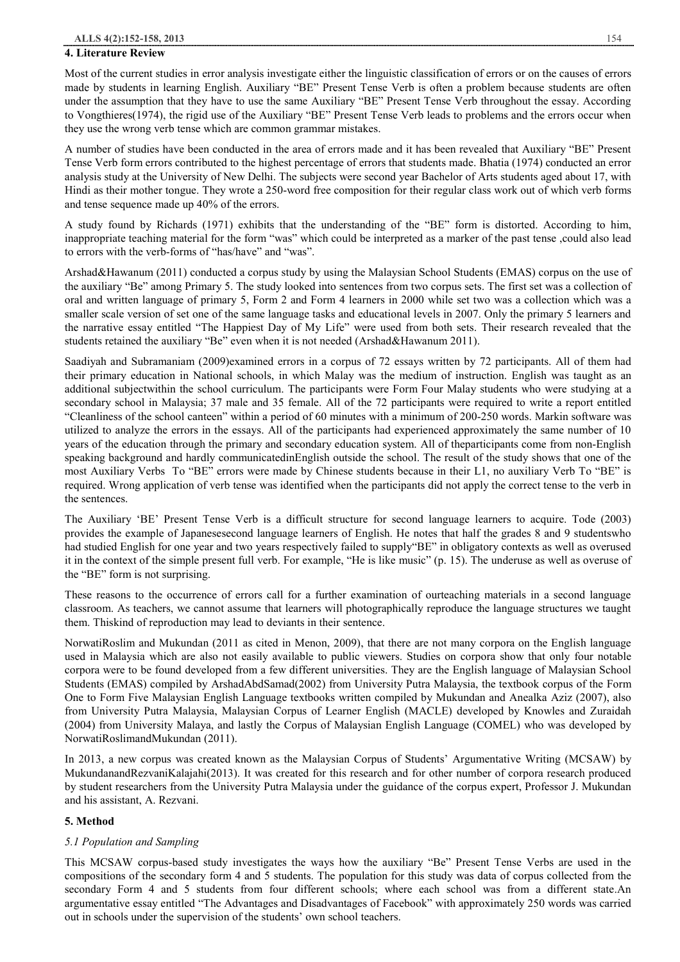#### **4. Literature Review**

Most of the current studies in error analysis investigate either the linguistic classification of errors or on the causes of errors made by students in learning English. Auxiliary "BE" Present Tense Verb is often a problem because students are often under the assumption that they have to use the same Auxiliary "BE" Present Tense Verb throughout the essay. According to Vongthieres(1974), the rigid use of the Auxiliary "BE" Present Tense Verb leads to problems and the errors occur when they use the wrong verb tense which are common grammar mistakes.

A number of studies have been conducted in the area of errors made and it has been revealed that Auxiliary "BE" Present Tense Verb form errors contributed to the highest percentage of errors that students made. Bhatia (1974) conducted an error analysis study at the University of New Delhi. The subjects were second year Bachelor of Arts students aged about 17, with Hindi as their mother tongue. They wrote a 250-word free composition for their regular class work out of which verb forms and tense sequence made up 40% of the errors.

A study found by Richards (1971) exhibits that the understanding of the "BE" form is distorted. According to him, inappropriate teaching material for the form "was" which could be interpreted as a marker of the past tense ,could also lead to errors with the verb-forms of "has/have" and "was".

Arshad&Hawanum (2011) conducted a corpus study by using the Malaysian School Students (EMAS) corpus on the use of the auxiliary "Be" among Primary 5. The study looked into sentences from two corpus sets. The first set was a collection of oral and written language of primary 5, Form 2 and Form 4 learners in 2000 while set two was a collection which was a smaller scale version of set one of the same language tasks and educational levels in 2007. Only the primary 5 learners and the narrative essay entitled "The Happiest Day of My Life" were used from both sets. Their research revealed that the students retained the auxiliary "Be" even when it is not needed (Arshad&Hawanum 2011).

Saadiyah and Subramaniam (2009)examined errors in a corpus of 72 essays written by 72 participants. All of them had their primary education in National schools, in which Malay was the medium of instruction. English was taught as an additional subjectwithin the school curriculum. The participants were Form Four Malay students who were studying at a secondary school in Malaysia; 37 male and 35 female. All of the 72 participants were required to write a report entitled "Cleanliness of the school canteen" within a period of 60 minutes with a minimum of 200-250 words. Markin software was utilized to analyze the errors in the essays. All of the participants had experienced approximately the same number of 10 years of the education through the primary and secondary education system. All of theparticipants come from non-English speaking background and hardly communicatedinEnglish outside the school. The result of the study shows that one of the most Auxiliary Verbs To "BE" errors were made by Chinese students because in their L1, no auxiliary Verb To "BE" is required. Wrong application of verb tense was identified when the participants did not apply the correct tense to the verb in the sentences.

The Auxiliary 'BE' Present Tense Verb is a difficult structure for second language learners to acquire. Tode (2003) provides the example of Japanesesecond language learners of English. He notes that half the grades 8 and 9 studentswho had studied English for one year and two years respectively failed to supply"BE" in obligatory contexts as well as overused it in the context of the simple present full verb. For example, "He is like music" (p. 15). The underuse as well as overuse of the "BE" form is not surprising.

These reasons to the occurrence of errors call for a further examination of ourteaching materials in a second language classroom. As teachers, we cannot assume that learners will photographically reproduce the language structures we taught them. Thiskind of reproduction may lead to deviants in their sentence.

NorwatiRoslim and Mukundan (2011 as cited in Menon, 2009), that there are not many corpora on the English language used in Malaysia which are also not easily available to public viewers. Studies on corpora show that only four notable corpora were to be found developed from a few different universities. They are the English language of Malaysian School Students (EMAS) compiled by ArshadAbdSamad(2002) from University Putra Malaysia, the textbook corpus of the Form One to Form Five Malaysian English Language textbooks written compiled by Mukundan and Anealka Aziz (2007), also from University Putra Malaysia, Malaysian Corpus of Learner English (MACLE) developed by Knowles and Zuraidah (2004) from University Malaya, and lastly the Corpus of Malaysian English Language (COMEL) who was developed by NorwatiRoslimandMukundan (2011).

In 2013, a new corpus was created known as the Malaysian Corpus of Students' Argumentative Writing (MCSAW) by MukundanandRezvaniKalajahi(2013). It was created for this research and for other number of corpora research produced by student researchers from the University Putra Malaysia under the guidance of the corpus expert, Professor J. Mukundan and his assistant, A. Rezvani.

#### **5. Method**

#### *5.1 Population and Sampling*

This MCSAW corpus-based study investigates the ways how the auxiliary "Be" Present Tense Verbs are used in the compositions of the secondary form 4 and 5 students. The population for this study was data of corpus collected from the secondary Form 4 and 5 students from four different schools; where each school was from a different state.An argumentative essay entitled "The Advantages and Disadvantages of Facebook" with approximately 250 words was carried out in schools under the supervision of the students' own school teachers.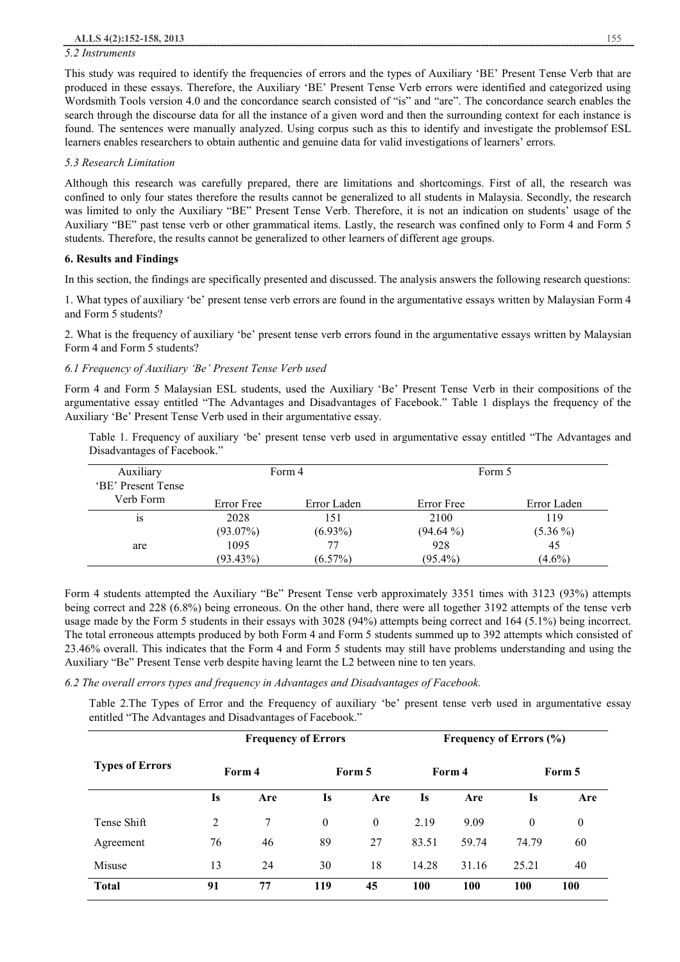#### *5.2 Instruments*

This study was required to identify the frequencies of errors and the types of Auxiliary 'BE' Present Tense Verb that are produced in these essays. Therefore, the Auxiliary 'BE' Present Tense Verb errors were identified and categorized using Wordsmith Tools version 4.0 and the concordance search consisted of "is" and "are". The concordance search enables the search through the discourse data for all the instance of a given word and then the surrounding context for each instance is found. The sentences were manually analyzed. Using corpus such as this to identify and investigate the problemsof ESL learners enables researchers to obtain authentic and genuine data for valid investigations of learners' errors.

#### *5.3 Research Limitation*

Although this research was carefully prepared, there are limitations and shortcomings. First of all, the research was confined to only four states therefore the results cannot be generalized to all students in Malaysia. Secondly, the research was limited to only the Auxiliary "BE" Present Tense Verb. Therefore, it is not an indication on students' usage of the Auxiliary "BE" past tense verb or other grammatical items. Lastly, the research was confined only to Form 4 and Form 5 students. Therefore, the results cannot be generalized to other learners of different age groups.

#### **6. Results and Findings**

In this section, the findings are specifically presented and discussed. The analysis answers the following research questions:

1. What types of auxiliary 'be' present tense verb errors are found in the argumentative essays written by Malaysian Form 4 and Form 5 students?

2. What is the frequency of auxiliary 'be' present tense verb errors found in the argumentative essays written by Malaysian Form 4 and Form 5 students?

#### *6.1 Frequency of Auxiliary 'Be' Present Tense Verb used*

Form 4 and Form 5 Malaysian ESL students, used the Auxiliary 'Be' Present Tense Verb in their compositions of the argumentative essay entitled "The Advantages and Disadvantages of Facebook." Table 1 displays the frequency of the Auxiliary 'Be' Present Tense Verb used in their argumentative essay.

Table 1. Frequency of auxiliary 'be' present tense verb used in argumentative essay entitled "The Advantages and Disadvantages of Facebook."

| Auxiliary          |             | Form 4      | Form 5      |             |  |
|--------------------|-------------|-------------|-------------|-------------|--|
| 'BE' Present Tense |             |             |             |             |  |
| Verb Form-         | Error Free  | Error Laden | Error Free  | Error Laden |  |
| 1S                 | 2028        | 151         | 2100        | 119         |  |
|                    | $(93.07\%)$ | $(6.93\%)$  | $(94.64\%)$ | $(5.36\%)$  |  |
| are                | 1095        | 77          | 928         | 45          |  |
|                    | $(93.43\%)$ | $(6.57\%)$  | $(95.4\%)$  | $(4.6\%)$   |  |

Form 4 students attempted the Auxiliary "Be" Present Tense verb approximately 3351 times with 3123 (93%) attempts being correct and 228 (6.8%) being erroneous. On the other hand, there were all together 3192 attempts of the tense verb usage made by the Form 5 students in their essays with 3028 (94%) attempts being correct and 164 (5.1%) being incorrect. The total erroneous attempts produced by both Form 4 and Form 5 students summed up to 392 attempts which consisted of 23.46% overall. This indicates that the Form 4 and Form 5 students may still have problems understanding and using the Auxiliary "Be" Present Tense verb despite having learnt the L2 between nine to ten years.

*6.2 The overall errors types and frequency in Advantages and Disadvantages of Facebook.* 

Table 2.The Types of Error and the Frequency of auxiliary 'be' present tense verb used in argumentative essay entitled "The Advantages and Disadvantages of Facebook."

| <b>Types of Errors</b> | <b>Frequency of Errors</b> |     |                |          | <b>Frequency of Errors (%)</b> |       |              |          |
|------------------------|----------------------------|-----|----------------|----------|--------------------------------|-------|--------------|----------|
|                        | Form 4                     |     | Form 5         |          | Form 4                         |       | Form 5       |          |
|                        | <b>Is</b>                  | Are | <b>Is</b>      | Are      | <b>Is</b>                      | Are   | Is           | Are      |
| Tense Shift            | 2                          | 7   | $\overline{0}$ | $\theta$ | 2.19                           | 9.09  | $\mathbf{0}$ | $\theta$ |
| Agreement              | 76                         | 46  | 89             | 27       | 83.51                          | 59.74 | 74.79        | 60       |
| Misuse                 | 13                         | 24  | 30             | 18       | 14.28                          | 31.16 | 25.21        | 40       |
| <b>Total</b>           | 91                         | 77  | 119            | 45       | <b>100</b>                     | 100   | 100          | 100      |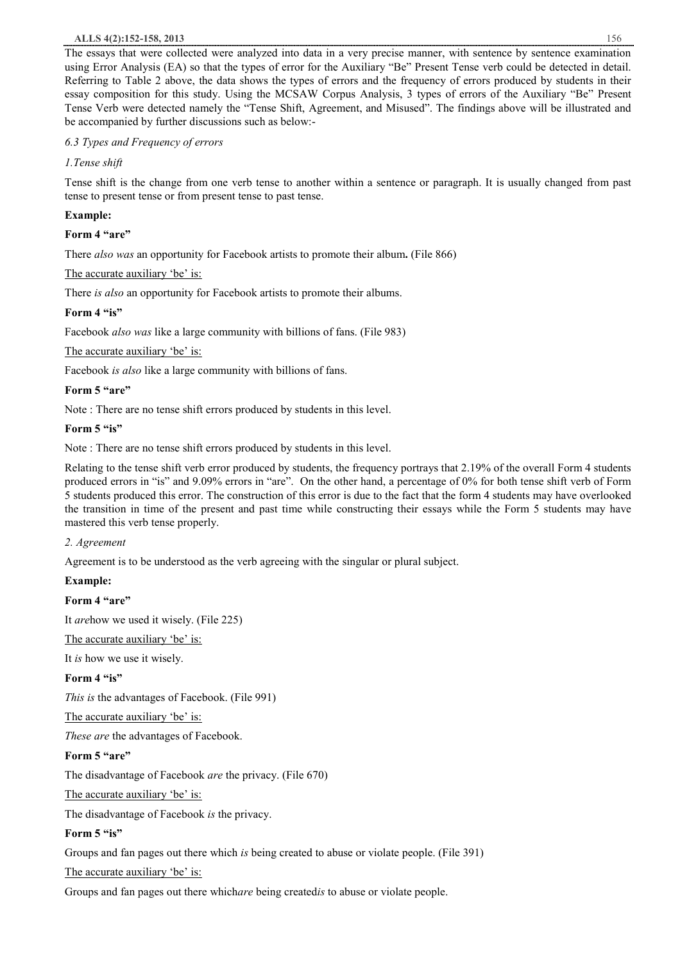#### **ALLS 4(2):152-158, 2013** 156

The essays that were collected were analyzed into data in a very precise manner, with sentence by sentence examination using Error Analysis (EA) so that the types of error for the Auxiliary "Be" Present Tense verb could be detected in detail. Referring to Table 2 above, the data shows the types of errors and the frequency of errors produced by students in their essay composition for this study. Using the MCSAW Corpus Analysis, 3 types of errors of the Auxiliary "Be" Present Tense Verb were detected namely the "Tense Shift, Agreement, and Misused". The findings above will be illustrated and be accompanied by further discussions such as below:-

## *6.3 Types and Frequency of errors*

## *1.Tense shift*

Tense shift is the change from one verb tense to another within a sentence or paragraph. It is usually changed from past tense to present tense or from present tense to past tense.

## **Example:**

### **Form 4 "are"**

There *also was* an opportunity for Facebook artists to promote their album**.** (File 866)

## The accurate auxiliary 'be' is:

There *is also* an opportunity for Facebook artists to promote their albums.

## **Form 4 "is"**

Facebook *also was* like a large community with billions of fans. (File 983)

## The accurate auxiliary 'be' is:

Facebook *is also* like a large community with billions of fans.

## **Form 5 "are"**

Note : There are no tense shift errors produced by students in this level.

## **Form 5 "is"**

Note : There are no tense shift errors produced by students in this level.

Relating to the tense shift verb error produced by students, the frequency portrays that 2.19% of the overall Form 4 students produced errors in "is" and 9.09% errors in "are". On the other hand, a percentage of 0% for both tense shift verb of Form 5 students produced this error. The construction of this error is due to the fact that the form 4 students may have overlooked the transition in time of the present and past time while constructing their essays while the Form 5 students may have mastered this verb tense properly.

## *2. Agreement*

Agreement is to be understood as the verb agreeing with the singular or plural subject.

#### **Example:**

#### **Form 4 "are"**

It *are*how we used it wisely. (File 225)

The accurate auxiliary 'be' is:

It *is* how we use it wisely.

## **Form 4 "is"**

*This is* the advantages of Facebook. (File 991)

## The accurate auxiliary 'be' is:

*These are* the advantages of Facebook.

#### **Form 5 "are"**

The disadvantage of Facebook *are* the privacy. (File 670)

The accurate auxiliary 'be' is:

The disadvantage of Facebook *is* the privacy.

## **Form 5 "is"**

Groups and fan pages out there which *is* being created to abuse or violate people. (File 391)

The accurate auxiliary 'be' is:

Groups and fan pages out there which*are* being created*is* to abuse or violate people.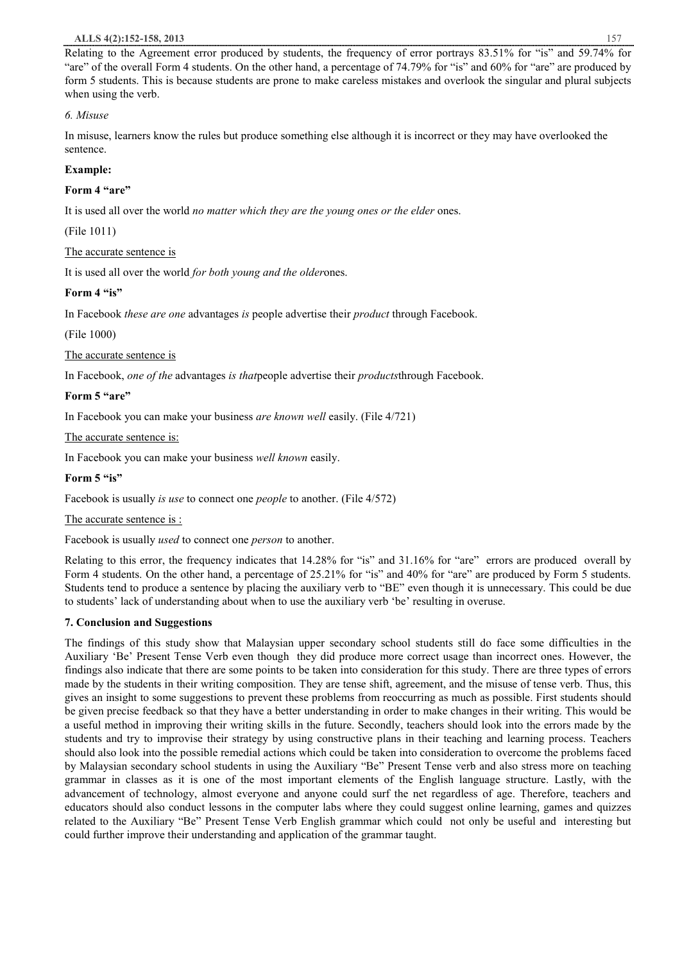#### **ALLS 4(2):152-158, 2013** 157

Relating to the Agreement error produced by students, the frequency of error portrays 83.51% for "is" and 59.74% for "are" of the overall Form 4 students. On the other hand, a percentage of 74.79% for "is" and 60% for "are" are produced by form 5 students. This is because students are prone to make careless mistakes and overlook the singular and plural subjects when using the verb.

## *6. Misuse*

In misuse, learners know the rules but produce something else although it is incorrect or they may have overlooked the sentence.

## **Example:**

## **Form 4 "are"**

It is used all over the world *no matter which they are the young ones or the elder* ones.

(File 1011)

## The accurate sentence is

It is used all over the world *for both young and the older*ones.

## **Form 4 "is"**

In Facebook *these are one* advantages *is* people advertise their *product* through Facebook.

(File 1000)

## The accurate sentence is

In Facebook, *one of the* advantages *is that*people advertise their *products*through Facebook.

## **Form 5 "are"**

In Facebook you can make your business *are known well* easily. (File 4/721)

The accurate sentence is:

In Facebook you can make your business *well known* easily.

#### **Form 5 "is"**

Facebook is usually *is use* to connect one *people* to another. (File 4/572)

#### The accurate sentence is :

Facebook is usually *used* to connect one *person* to another.

Relating to this error, the frequency indicates that 14.28% for "is" and 31.16% for "are" errors are produced overall by Form 4 students. On the other hand, a percentage of 25.21% for "is" and 40% for "are" are produced by Form 5 students. Students tend to produce a sentence by placing the auxiliary verb to "BE" even though it is unnecessary. This could be due to students' lack of understanding about when to use the auxiliary verb 'be' resulting in overuse.

## **7. Conclusion and Suggestions**

The findings of this study show that Malaysian upper secondary school students still do face some difficulties in the Auxiliary 'Be' Present Tense Verb even though they did produce more correct usage than incorrect ones. However, the findings also indicate that there are some points to be taken into consideration for this study. There are three types of errors made by the students in their writing composition. They are tense shift, agreement, and the misuse of tense verb. Thus, this gives an insight to some suggestions to prevent these problems from reoccurring as much as possible. First students should be given precise feedback so that they have a better understanding in order to make changes in their writing. This would be a useful method in improving their writing skills in the future. Secondly, teachers should look into the errors made by the students and try to improvise their strategy by using constructive plans in their teaching and learning process. Teachers should also look into the possible remedial actions which could be taken into consideration to overcome the problems faced by Malaysian secondary school students in using the Auxiliary "Be" Present Tense verb and also stress more on teaching grammar in classes as it is one of the most important elements of the English language structure. Lastly, with the advancement of technology, almost everyone and anyone could surf the net regardless of age. Therefore, teachers and educators should also conduct lessons in the computer labs where they could suggest online learning, games and quizzes related to the Auxiliary "Be" Present Tense Verb English grammar which could not only be useful and interesting but could further improve their understanding and application of the grammar taught.